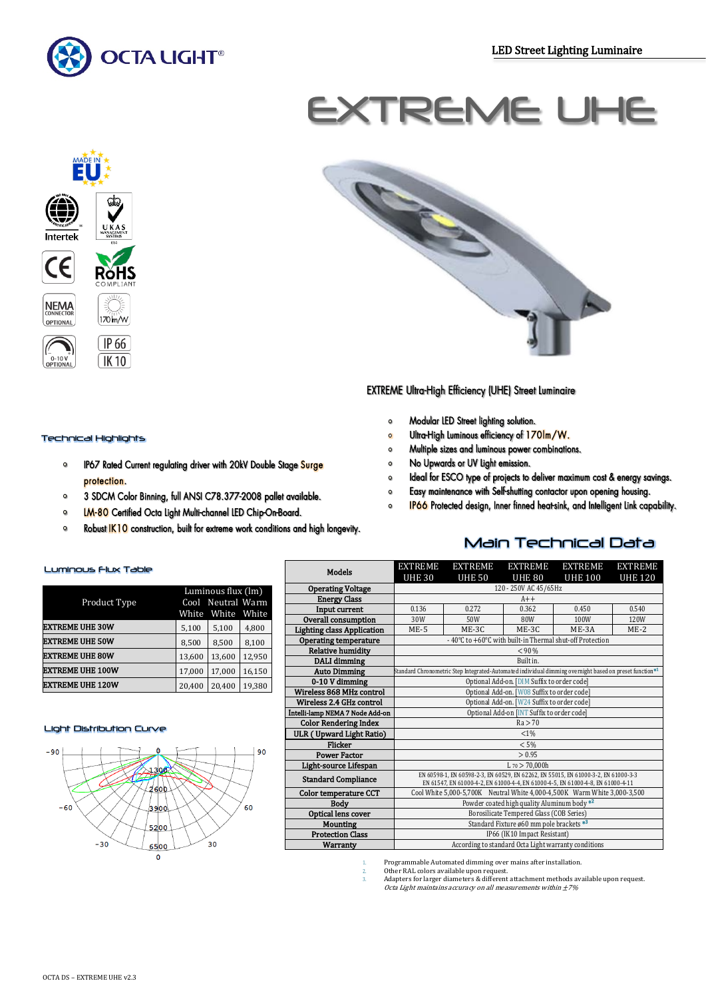

# EXTREME UHE







# **EXTREME Ultra-High Efficiency (UHE) Street Luminaire**

- Modular LED Street lighting solution.  $\circ$
- Ultra-High Luminous efficiency of 170Im/W.  $\circ$
- Multiple sizes and luminous power combinations.  $\circ$
- No Upwards or UV Light emission.  $\bullet$
- Ideal for ESCO type of projects to deliver maximum cost & energy savings.  $\Omega$
- Easy maintenance with Self-shutting contactor upon opening housing.  $\circ$
- IP66 Protected design, Inner finned heat-sink, and Intelligent Link capability.  $\circ$

Main Technical Data

#### Luminous Flux Table

Technical Highlights

protection.

 $\circ$ 

 $\circ$ 

 $\bullet$ 

 $\circ$ 

|                         | Luminous flux (lm) |                   |        |  |  |
|-------------------------|--------------------|-------------------|--------|--|--|
| Product Type            |                    | Cool Neutral Warm |        |  |  |
|                         | White              | White             | White  |  |  |
| <b>EXTREME UHE 30W</b>  | 5,100              | 5,100             | 4,800  |  |  |
| <b>EXTREME UHE 50W</b>  | 8,500              | 8.500             | 8.100  |  |  |
| <b>EXTREME UHE 80W</b>  | 13,600             | 13,600            | 12.950 |  |  |
| <b>EXTREME UHE 100W</b> | 17,000             | 17,000            | 16,150 |  |  |
| <b>EXTREME UHE 120W</b> | 20,400             | 20,400            | 19,380 |  |  |

IP67 Rated Current regulating driver with 20kV Double Stage Surge

3 SDCM Color Binning, full ANSI C78.377-2008 pallet available.

Robust IK10 construction, built for extreme work conditions and high longevity.

LM-80 Certified Octa Light Multi-channel LED Chip-On-Board.

#### Light Distribution Curve



| <b>Models</b>                     | <b>EXTREME</b>                                                                                                                                                        | <b>EXTREME</b> | <b>EXTREME</b>                           | <b>EXTREME</b> | <b>EXTREME</b> |  |
|-----------------------------------|-----------------------------------------------------------------------------------------------------------------------------------------------------------------------|----------------|------------------------------------------|----------------|----------------|--|
|                                   | <b>UHE 30</b>                                                                                                                                                         | <b>UHE 50</b>  | <b>UHE 80</b>                            | <b>UHE 100</b> | <b>UHE 120</b> |  |
| <b>Operating Voltage</b>          | 120 - 250V AC 45/65Hz                                                                                                                                                 |                |                                          |                |                |  |
| <b>Energy Class</b>               | $A++$                                                                                                                                                                 |                |                                          |                |                |  |
| Input current                     | 0.136<br>0.362<br>0.272<br>0.450<br>0.540                                                                                                                             |                |                                          |                |                |  |
| Overall consumption               | 30W                                                                                                                                                                   | 50W            | 80W                                      | 100W           | 120W           |  |
| <b>Lighting class Application</b> | $ME-5$                                                                                                                                                                | ME-3C          | ME-3C                                    | $ME-3A$        | $ME-2$         |  |
| <b>Operating temperature</b>      | - 40°C to +60°C with built-in Thermal shut-off Protection                                                                                                             |                |                                          |                |                |  |
| <b>Relative humidity</b>          | < 90 %                                                                                                                                                                |                |                                          |                |                |  |
| DALI dimming                      |                                                                                                                                                                       |                | Built in.                                |                |                |  |
| <b>Auto Dimming</b>               | Standard Chronometric Step Integrated-Automated individual dimming overnight based on preset function <sup>*1</sup>                                                   |                |                                          |                |                |  |
| 0-10 V dimming                    | Optional Add-on. [DIM Suffix to order code]                                                                                                                           |                |                                          |                |                |  |
| Wireless 868 MHz control          | Optional Add-on. [W08 Suffix to order code]                                                                                                                           |                |                                          |                |                |  |
| Wireless 2.4 GHz control          | Optional Add-on. [W24 Suffix to order code]                                                                                                                           |                |                                          |                |                |  |
| Intelli-lamp NEMA 7 Node Add-on   | Optional Add-on [INT Suffix to order code]                                                                                                                            |                |                                          |                |                |  |
| <b>Color Rendering Index</b>      | Ra > 70                                                                                                                                                               |                |                                          |                |                |  |
| ULR (Upward Light Ratio)          | $< 1\%$                                                                                                                                                               |                |                                          |                |                |  |
| Flicker                           |                                                                                                                                                                       |                | < 5%                                     |                |                |  |
| <b>Power Factor</b>               | > 0.95                                                                                                                                                                |                |                                          |                |                |  |
| Light-source Lifespan             | $L_{70} > 70.000h$                                                                                                                                                    |                |                                          |                |                |  |
| <b>Standard Compliance</b>        | EN 60598-1, EN 60598-2-3, EN 60529, EN 62262, EN 55015, EN 61000-3-2, EN 61000-3-3<br>EN 61547, EN 61000-4-2, EN 61000-4-4, EN 61000-4-5, EN 61000-4-8, EN 61000-4-11 |                |                                          |                |                |  |
| Color temperature CCT             | Cool White 5,000-5,700K Neutral White 4,000-4,500K Warm White 3,000-3,500                                                                                             |                |                                          |                |                |  |
| <b>Body</b>                       | Powder coated high quality Aluminum body <sup>*2</sup>                                                                                                                |                |                                          |                |                |  |
| Optical lens cover                |                                                                                                                                                                       |                | Borosilicate Tempered Glass (COB Series) |                |                |  |
| <b>Mounting</b>                   | Standard Fixture ø60 mm pole brackets *3                                                                                                                              |                |                                          |                |                |  |
| <b>Protection Class</b>           |                                                                                                                                                                       |                | IP66 (IK10 Impact Resistant)             |                |                |  |
| Warranty                          | According to standard Octa Light warranty conditions                                                                                                                  |                |                                          |                |                |  |
|                                   |                                                                                                                                                                       |                |                                          |                |                |  |

1. Programmable Automated dimming over mains after installation.

2. Other RAL colors available upon request. 3. Adapters for larger diameters & different attachment methods available upon request. Octa Light maintains accuracy on all measurements within  $\pm 7\%$ 

| 5,100  | 5,100  | 4,800                                  |
|--------|--------|----------------------------------------|
| 8,500  | 8,500  | 8,100                                  |
| 13.600 | 13.600 | 12.950                                 |
| 17.000 | 17,000 | 16.150                                 |
| 20.400 | 20.400 | 19.380                                 |
|        |        | Cool Neutral Warm<br>White White White |